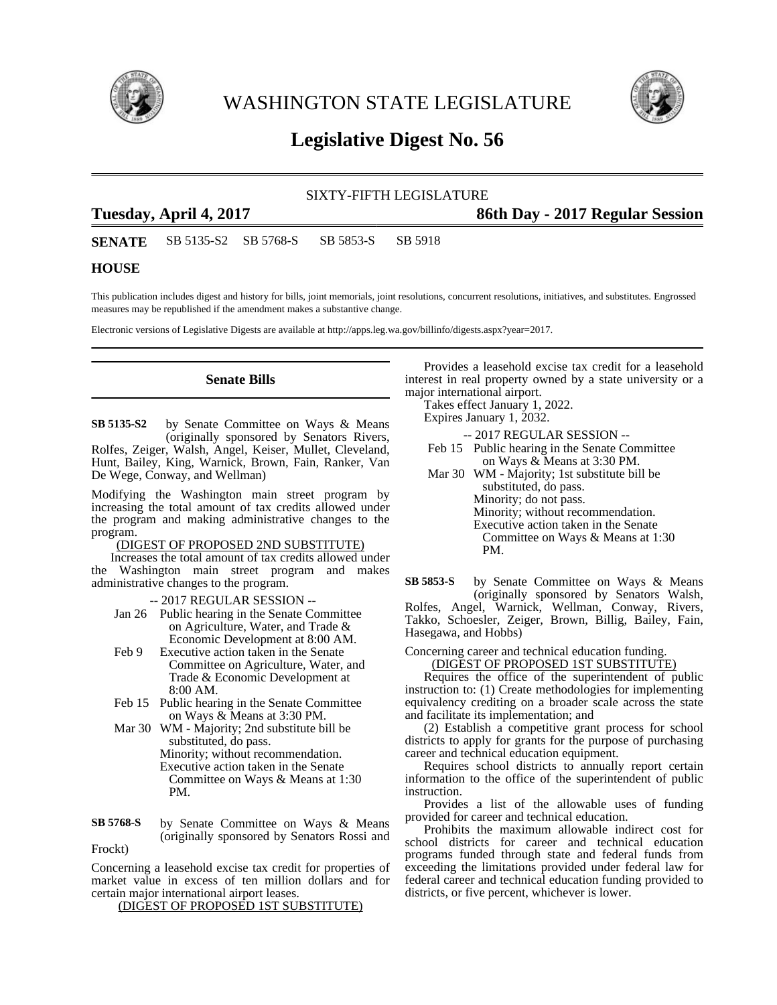

WASHINGTON STATE LEGISLATURE



# **Legislative Digest No. 56**

### SIXTY-FIFTH LEGISLATURE

## **Tuesday, April 4, 2017 86th Day - 2017 Regular Session**

**SENATE** SB 5135-S2 SB 5768-S SB 5853-S SB 5918

## **HOUSE**

This publication includes digest and history for bills, joint memorials, joint resolutions, concurrent resolutions, initiatives, and substitutes. Engrossed measures may be republished if the amendment makes a substantive change.

Electronic versions of Legislative Digests are available at http://apps.leg.wa.gov/billinfo/digests.aspx?year=2017.

### **Senate Bills**

by Senate Committee on Ways & Means (originally sponsored by Senators Rivers, Rolfes, Zeiger, Walsh, Angel, Keiser, Mullet, Cleveland, Hunt, Bailey, King, Warnick, Brown, Fain, Ranker, Van De Wege, Conway, and Wellman) **SB 5135-S2**

Modifying the Washington main street program by increasing the total amount of tax credits allowed under the program and making administrative changes to the program.

### (DIGEST OF PROPOSED 2ND SUBSTITUTE)

Increases the total amount of tax credits allowed under the Washington main street program and makes administrative changes to the program.

- -- 2017 REGULAR SESSION --
- Jan 26 Public hearing in the Senate Committee on Agriculture, Water, and Trade & Economic Development at 8:00 AM.
- Feb 9 Executive action taken in the Senate Committee on Agriculture, Water, and Trade & Economic Development at 8:00 AM.
- Feb 15 Public hearing in the Senate Committee on Ways & Means at 3:30 PM.
- Mar 30 WM Majority; 2nd substitute bill be substituted, do pass. Minority; without recommendation. Executive action taken in the Senate Committee on Ways & Means at 1:30 PM.
- by Senate Committee on Ways & Means (originally sponsored by Senators Rossi and Frockt) **SB 5768-S**

Concerning a leasehold excise tax credit for properties of market value in excess of ten million dollars and for certain major international airport leases.

(DIGEST OF PROPOSED 1ST SUBSTITUTE)

Provides a leasehold excise tax credit for a leasehold interest in real property owned by a state university or a major international airport.

Takes effect January 1, 2022.

Expires January 1, 2032.

- -- 2017 REGULAR SESSION --
- Feb 15 Public hearing in the Senate Committee on Ways & Means at 3:30 PM.
- Mar 30 WM Majority; 1st substitute bill be substituted, do pass. Minority; do not pass. Minority; without recommendation. Executive action taken in the Senate Committee on Ways & Means at 1:30 PM.

by Senate Committee on Ways & Means (originally sponsored by Senators Walsh, Rolfes, Angel, Warnick, Wellman, Conway, Rivers, Takko, Schoesler, Zeiger, Brown, Billig, Bailey, Fain, Hasegawa, and Hobbs) **SB 5853-S**

Concerning career and technical education funding.

(DIGEST OF PROPOSED 1ST SUBSTITUTE)

Requires the office of the superintendent of public instruction to: (1) Create methodologies for implementing equivalency crediting on a broader scale across the state and facilitate its implementation; and

(2) Establish a competitive grant process for school districts to apply for grants for the purpose of purchasing career and technical education equipment.

Requires school districts to annually report certain information to the office of the superintendent of public instruction.

Provides a list of the allowable uses of funding provided for career and technical education.

Prohibits the maximum allowable indirect cost for school districts for career and technical education programs funded through state and federal funds from exceeding the limitations provided under federal law for federal career and technical education funding provided to districts, or five percent, whichever is lower.